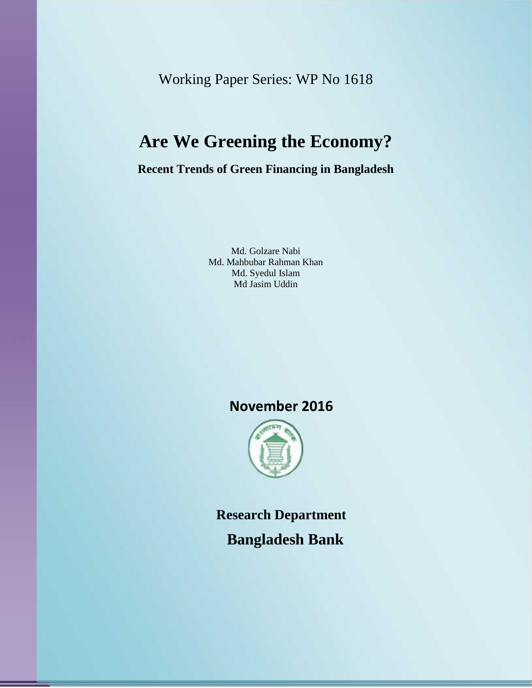Working Paper Series: WP No 1618

# **Are We Greening the Economy?**

**Recent Trends of Green Financing in Bangladesh**

Md. Golzare Nabi Md. Mahbubar Rahman Khan Md. Syedul Islam Md Jasim Uddin

### **November 2016**



**Research Department Bangladesh Bank**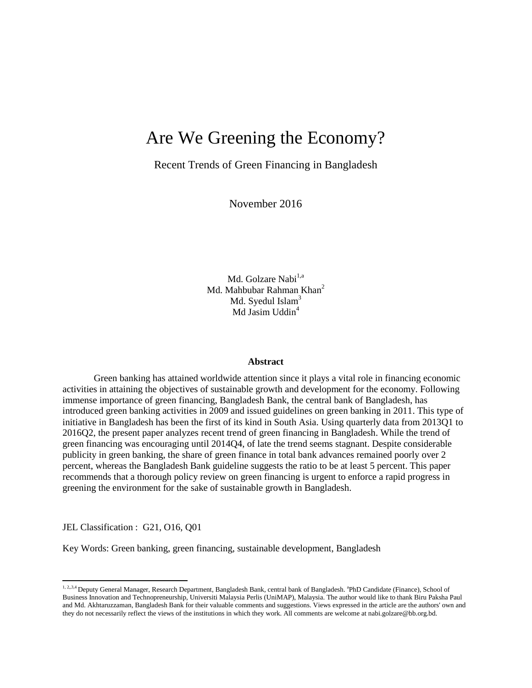## Are We Greening the Economy?

Recent Trends of Green Financing in Bangladesh

November 2016

Md. Golzare Nabi<sup>1,a</sup> Md. Mahbubar Rahman Khan<sup>2</sup> Md. Syedul Islam<sup>3</sup> Md Jasim Uddin<sup>4</sup>

#### **Abstract**

Green banking has attained worldwide attention since it plays a vital role in financing economic activities in attaining the objectives of sustainable growth and development for the economy. Following immense importance of green financing, Bangladesh Bank, the central bank of Bangladesh, has introduced green banking activities in 2009 and issued guidelines on green banking in 2011. This type of initiative in Bangladesh has been the first of its kind in South Asia. Using quarterly data from 2013Q1 to 2016Q2, the present paper analyzes recent trend of green financing in Bangladesh. While the trend of green financing was encouraging until 2014Q4, of late the trend seems stagnant. Despite considerable publicity in green banking, the share of green finance in total bank advances remained poorly over 2 percent, whereas the Bangladesh Bank guideline suggests the ratio to be at least 5 percent. This paper recommends that a thorough policy review on green financing is urgent to enforce a rapid progress in greening the environment for the sake of sustainable growth in Bangladesh.

JEL Classification : G21, O16, Q01

Key Words: Green banking, green financing, sustainable development, Bangladesh

<sup>1, 2,,3,4</sup> Deputy General Manager, Research Department, Bangladesh Bank, central bank of Bangladesh. <sup>a</sup>PhD Candidate (Finance), School of Business Innovation and Technopreneurship, Universiti Malaysia Perlis (UniMAP), Malaysia. The author would like to thank Biru Paksha Paul and Md. Akhtaruzzaman, Bangladesh Bank for their valuable comments and suggestions. Views expressed in the article are the authors' own and they do not necessarily reflect the views of the institutions in which they work. All comments are welcome at nabi.golzare@bb.org.bd.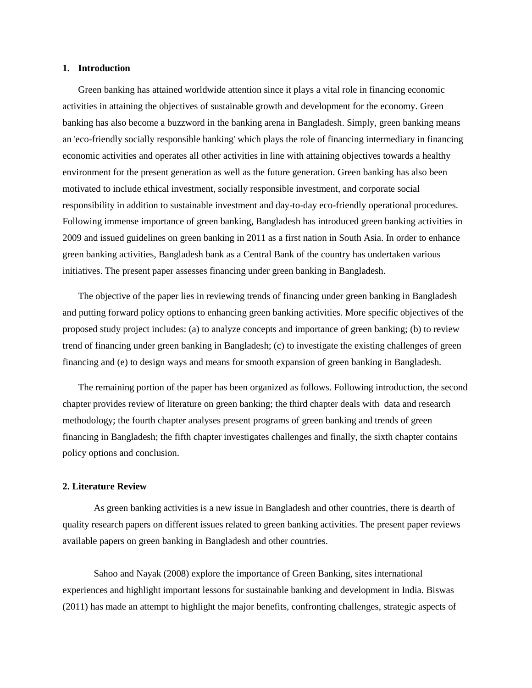#### **1. Introduction**

Green banking has attained worldwide attention since it plays a vital role in financing economic activities in attaining the objectives of sustainable growth and development for the economy. Green banking has also become a buzzword in the banking arena in Bangladesh. Simply, green banking means an 'eco-friendly socially responsible banking' which plays the role of financing intermediary in financing economic activities and operates all other activities in line with attaining objectives towards a healthy environment for the present generation as well as the future generation. Green banking has also been motivated to include ethical investment, socially responsible investment, and corporate social responsibility in addition to sustainable investment and day-to-day eco-friendly operational procedures. Following immense importance of green banking, Bangladesh has introduced green banking activities in 2009 and issued guidelines on green banking in 2011 as a first nation in South Asia. In order to enhance green banking activities, Bangladesh bank as a Central Bank of the country has undertaken various initiatives. The present paper assesses financing under green banking in Bangladesh.

The objective of the paper lies in reviewing trends of financing under green banking in Bangladesh and putting forward policy options to enhancing green banking activities. More specific objectives of the proposed study project includes: (a) to analyze concepts and importance of green banking; (b) to review trend of financing under green banking in Bangladesh; (c) to investigate the existing challenges of green financing and (e) to design ways and means for smooth expansion of green banking in Bangladesh.

The remaining portion of the paper has been organized as follows. Following introduction, the second chapter provides review of literature on green banking; the third chapter deals with data and research methodology; the fourth chapter analyses present programs of green banking and trends of green financing in Bangladesh; the fifth chapter investigates challenges and finally, the sixth chapter contains policy options and conclusion.

#### **2. Literature Review**

As green banking activities is a new issue in Bangladesh and other countries, there is dearth of quality research papers on different issues related to green banking activities. The present paper reviews available papers on green banking in Bangladesh and other countries.

Sahoo and Nayak (2008) explore the importance of Green Banking, sites international experiences and highlight important lessons for sustainable banking and development in India. Biswas (2011) has made an attempt to highlight the major benefits, confronting challenges, strategic aspects of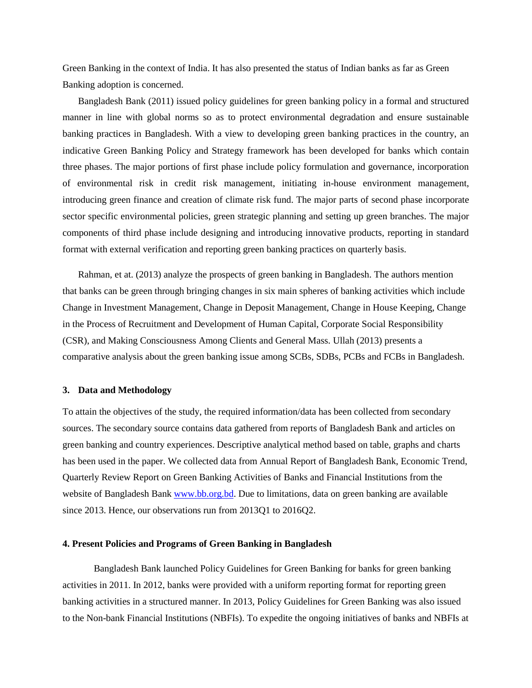Green Banking in the context of India. It has also presented the status of Indian banks as far as Green Banking adoption is concerned.

Bangladesh Bank (2011) issued policy guidelines for green banking policy in a formal and structured manner in line with global norms so as to protect environmental degradation and ensure sustainable banking practices in Bangladesh. With a view to developing green banking practices in the country, an indicative Green Banking Policy and Strategy framework has been developed for banks which contain three phases. The major portions of first phase include policy formulation and governance, incorporation of environmental risk in credit risk management, initiating in-house environment management, introducing green finance and creation of climate risk fund. The major parts of second phase incorporate sector specific environmental policies, green strategic planning and setting up green branches. The major components of third phase include designing and introducing innovative products, reporting in standard format with external verification and reporting green banking practices on quarterly basis.

Rahman, et at. (2013) analyze the prospects of green banking in Bangladesh. The authors mention that banks can be green through bringing changes in six main spheres of banking activities which include Change in Investment Management, Change in Deposit Management, Change in House Keeping, Change in the Process of Recruitment and Development of Human Capital, Corporate Social Responsibility (CSR), and Making Consciousness Among Clients and General Mass. Ullah (2013) presents a comparative analysis about the green banking issue among SCBs, SDBs, PCBs and FCBs in Bangladesh.

#### **3. Data and Methodology**

To attain the objectives of the study, the required information/data has been collected from secondary sources. The secondary source contains data gathered from reports of Bangladesh Bank and articles on green banking and country experiences. Descriptive analytical method based on table, graphs and charts has been used in the paper. We collected data from Annual Report of Bangladesh Bank, Economic Trend, Quarterly Review Report on Green Banking Activities of Banks and Financial Institutions from the website of Bangladesh Bank www.bb.org.bd. Due to limitations, data on green banking are available since 2013. Hence, our observations run from 2013Q1 to 2016Q2.

#### **4. Present Policies and Programs of Green Banking in Bangladesh**

Bangladesh Bank launched Policy Guidelines for Green Banking for banks for green banking activities in 2011. In 2012, banks were provided with a uniform reporting format for reporting green banking activities in a structured manner. In 2013, Policy Guidelines for Green Banking was also issued to the Non-bank Financial Institutions (NBFIs). To expedite the ongoing initiatives of banks and NBFIs at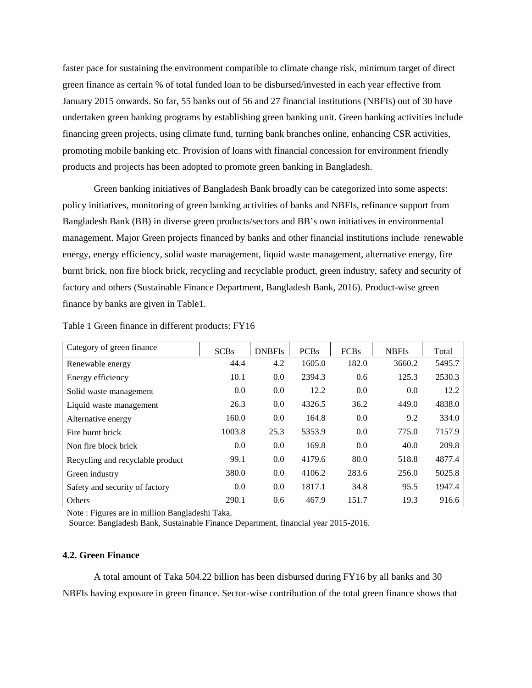faster pace for sustaining the environment compatible to climate change risk, minimum target of direct green finance as certain % of total funded loan to be disbursed/invested in each year effective from January 2015 onwards. So far, 55 banks out of 56 and 27 financial institutions (NBFIs) out of 30 have undertaken green banking programs by establishing green banking unit. Green banking activities include financing green projects, using climate fund, turning bank branches online, enhancing CSR activities, promoting mobile banking etc. Provision of loans with financial concession for environment friendly products and projects has been adopted to promote green banking in Bangladesh.

Green banking initiatives of Bangladesh Bank broadly can be categorized into some aspects: policy initiatives, monitoring of green banking activities of banks and NBFIs, refinance support from Bangladesh Bank (BB) in diverse green products/sectors and BB's own initiatives in environmental management. Major Green projects financed by banks and other financial institutions include renewable energy, energy efficiency, solid waste management, liquid waste management, alternative energy, fire burnt brick, non fire block brick, recycling and recyclable product, green industry, safety and security of factory and others (Sustainable Finance Department, Bangladesh Bank, 2016). Product-wise green finance by banks are given in Table1.

| Category of green finance        | <b>SCBs</b> | <b>DNBFIs</b> | <b>PCBs</b> | <b>FCBs</b> | <b>NBFIs</b> | Total  |
|----------------------------------|-------------|---------------|-------------|-------------|--------------|--------|
| Renewable energy                 | 44.4        | 4.2           | 1605.0      | 182.0       | 3660.2       | 5495.7 |
| Energy efficiency                | 10.1        | 0.0           | 2394.3      | 0.6         | 125.3        | 2530.3 |
| Solid waste management           | 0.0         | 0.0           | 12.2        | 0.0         | 0.0          | 12.2   |
| Liquid waste management          | 26.3        | 0.0           | 4326.5      | 36.2        | 449.0        | 4838.0 |
| Alternative energy               | 160.0       | 0.0           | 164.8       | 0.0         | 9.2          | 334.0  |
| Fire burnt brick                 | 1003.8      | 25.3          | 5353.9      | 0.0         | 775.0        | 7157.9 |
| Non fire block brick             | 0.0         | 0.0           | 169.8       | 0.0         | 40.0         | 209.8  |
| Recycling and recyclable product | 99.1        | 0.0           | 4179.6      | 80.0        | 518.8        | 4877.4 |
| Green industry                   | 380.0       | 0.0           | 4106.2      | 283.6       | 256.0        | 5025.8 |
| Safety and security of factory   | 0.0         | 0.0           | 1817.1      | 34.8        | 95.5         | 1947.4 |
| Others                           | 290.1       | 0.6           | 467.9       | 151.7       | 19.3         | 916.6  |

Table 1 Green finance in different products: FY16

Note : Figures are in million Bangladeshi Taka.

Source: Bangladesh Bank, Sustainable Finance Department, financial year 2015-2016.

#### **4.2. Green Finance**

A total amount of Taka 504.22 billion has been disbursed during FY16 by all banks and 30 NBFIs having exposure in green finance. Sector-wise contribution of the total green finance shows that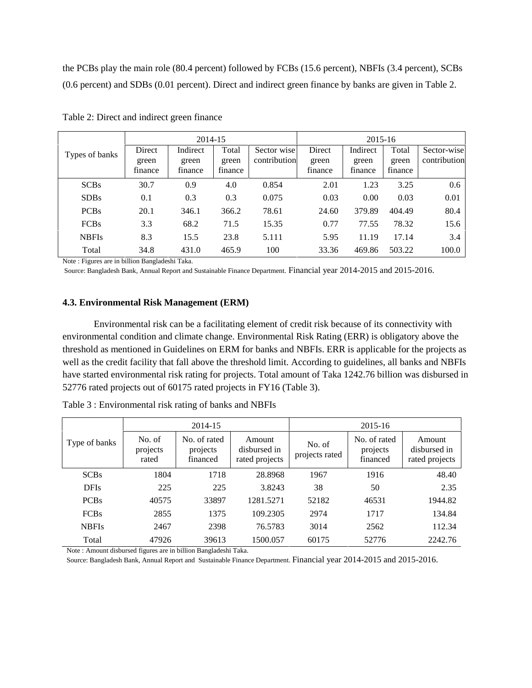the PCBs play the main role (80.4 percent) followed by FCBs (15.6 percent), NBFIs (3.4 percent), SCBs (0.6 percent) and SDBs (0.01 percent). Direct and indirect green finance by banks are given in Table 2.

|                | 2014-15                    |                              |                           |                             | 2015-16                    |                              |                           |                             |
|----------------|----------------------------|------------------------------|---------------------------|-----------------------------|----------------------------|------------------------------|---------------------------|-----------------------------|
| Types of banks | Direct<br>green<br>finance | Indirect<br>green<br>finance | Total<br>green<br>finance | Sector wise<br>contribution | Direct<br>green<br>finance | Indirect<br>green<br>finance | Total<br>green<br>finance | Sector-wise<br>contribution |
| SCBs           | 30.7                       | 0.9                          | 4.0                       | 0.854                       | 2.01                       | 1.23                         | 3.25                      | 0.6                         |
| <b>SDBs</b>    | 0.1                        | 0.3                          | 0.3                       | 0.075                       | 0.03                       | 0.00                         | 0.03                      | 0.01                        |
| <b>PCBs</b>    | 20.1                       | 346.1                        | 366.2                     | 78.61                       | 24.60                      | 379.89                       | 404.49                    | 80.4                        |
| <b>FCBs</b>    | 3.3                        | 68.2                         | 71.5                      | 15.35                       | 0.77                       | 77.55                        | 78.32                     | 15.6                        |
| <b>NBFIs</b>   | 8.3                        | 15.5                         | 23.8                      | 5.111                       | 5.95                       | 11.19                        | 17.14                     | 3.4                         |
| Total          | 34.8                       | 431.0                        | 465.9                     | 100                         | 33.36                      | 469.86                       | 503.22                    | 100.0                       |

Table 2: Direct and indirect green finance

Note : Figures are in billion Bangladeshi Taka.

Source: Bangladesh Bank, Annual Report and Sustainable Finance Department. Financial year 2014-2015 and 2015-2016.

#### **4.3. Environmental Risk Management (ERM)**

Environmental risk can be a facilitating element of credit risk because of its connectivity with environmental condition and climate change. Environmental Risk Rating (ERR) is obligatory above the threshold as mentioned in Guidelines on ERM for banks and NBFIs. ERR is applicable for the projects as well as the credit facility that fall above the threshold limit. According to guidelines, all banks and NBFIs have started environmental risk rating for projects. Total amount of Taka 1242.76 billion was disbursed in 52776 rated projects out of 60175 rated projects in FY16 (Table 3).

|               |                             | 2014-15                              |                                          | 2015-16                  |                                      |                                          |  |
|---------------|-----------------------------|--------------------------------------|------------------------------------------|--------------------------|--------------------------------------|------------------------------------------|--|
| Type of banks | No. of<br>projects<br>rated | No. of rated<br>projects<br>financed | Amount<br>disbursed in<br>rated projects | No. of<br>projects rated | No. of rated<br>projects<br>financed | Amount<br>disbursed in<br>rated projects |  |
| SCBs          | 1804                        | 1718                                 | 28.8968                                  | 1967                     | 1916                                 | 48.40                                    |  |
| <b>DFIs</b>   | 225                         | 225                                  | 3.8243                                   | 38                       | 50                                   | 2.35                                     |  |
| <b>PCBs</b>   | 40575                       | 33897                                | 1281.5271                                | 52182                    | 46531                                | 1944.82                                  |  |
| <b>FCBs</b>   | 2855                        | 1375                                 | 109.2305                                 | 2974                     | 1717                                 | 134.84                                   |  |
| <b>NBFIs</b>  | 2467                        | 2398                                 | 76.5783                                  | 3014                     | 2562                                 | 112.34                                   |  |
| Total         | 47926                       | 39613                                | 1500.057                                 | 60175                    | 52776                                | 2242.76                                  |  |

Table 3 : Environmental risk rating of banks and NBFIs

Note : Amount disbursed figures are in billion Bangladeshi Taka.

Source: Bangladesh Bank, Annual Report and Sustainable Finance Department. Financial year 2014-2015 and 2015-2016.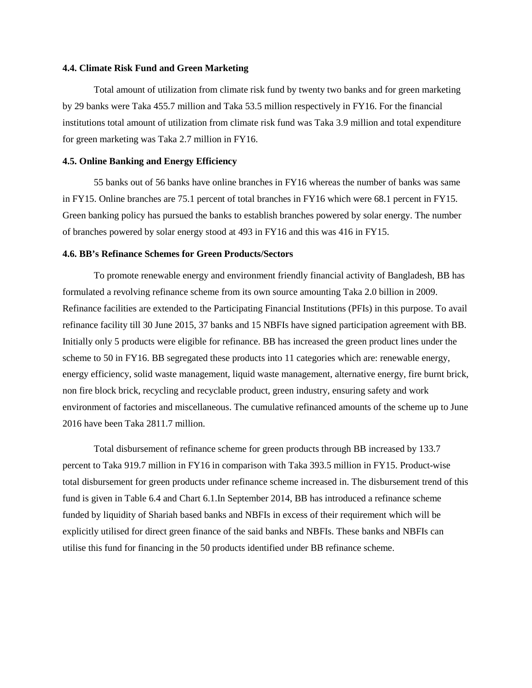#### **4.4. Climate Risk Fund and Green Marketing**

Total amount of utilization from climate risk fund by twenty two banks and for green marketing by 29 banks were Taka 455.7 million and Taka 53.5 million respectively in FY16. For the financial institutions total amount of utilization from climate risk fund was Taka 3.9 million and total expenditure for green marketing was Taka 2.7 million in FY16.

#### **4.5. Online Banking and Energy Efficiency**

55 banks out of 56 banks have online branches in FY16 whereas the number of banks was same in FY15. Online branches are 75.1 percent of total branches in FY16 which were 68.1 percent in FY15. Green banking policy has pursued the banks to establish branches powered by solar energy. The number of branches powered by solar energy stood at 493 in FY16 and this was 416 in FY15.

#### **4.6. BB's Refinance Schemes for Green Products/Sectors**

To promote renewable energy and environment friendly financial activity of Bangladesh, BB has formulated a revolving refinance scheme from its own source amounting Taka 2.0 billion in 2009. Refinance facilities are extended to the Participating Financial Institutions (PFIs) in this purpose. To avail refinance facility till 30 June 2015, 37 banks and 15 NBFIs have signed participation agreement with BB. Initially only 5 products were eligible for refinance. BB has increased the green product lines under the scheme to 50 in FY16. BB segregated these products into 11 categories which are: renewable energy, energy efficiency, solid waste management, liquid waste management, alternative energy, fire burnt brick, non fire block brick, recycling and recyclable product, green industry, ensuring safety and work environment of factories and miscellaneous. The cumulative refinanced amounts of the scheme up to June 2016 have been Taka 2811.7 million.

Total disbursement of refinance scheme for green products through BB increased by 133.7 percent to Taka 919.7 million in FY16 in comparison with Taka 393.5 million in FY15. Product-wise total disbursement for green products under refinance scheme increased in. The disbursement trend of this fund is given in Table 6.4 and Chart 6.1.In September 2014, BB has introduced a refinance scheme funded by liquidity of Shariah based banks and NBFIs in excess of their requirement which will be explicitly utilised for direct green finance of the said banks and NBFIs. These banks and NBFIs can utilise this fund for financing in the 50 products identified under BB refinance scheme.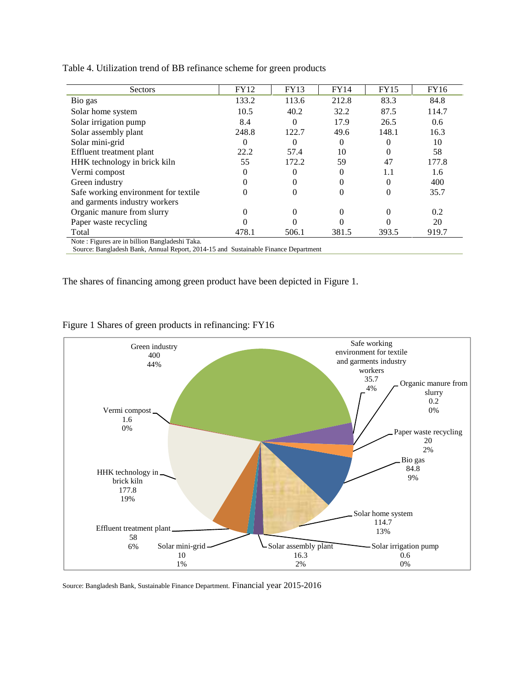| <b>Sectors</b>                                                                     | <b>FY12</b> | <b>FY13</b> | <b>FY14</b> | FY15     | <b>FY16</b> |
|------------------------------------------------------------------------------------|-------------|-------------|-------------|----------|-------------|
| Bio gas                                                                            | 133.2       | 113.6       | 212.8       | 83.3     | 84.8        |
| Solar home system                                                                  | 10.5        | 40.2        | 32.2        | 87.5     | 114.7       |
| Solar irrigation pump                                                              | 8.4         | $\Omega$    | 17.9        | 26.5     | 0.6         |
| Solar assembly plant                                                               | 248.8       | 122.7       | 49.6        | 148.1    | 16.3        |
| Solar mini-grid                                                                    | 0           |             | $\Omega$    |          | 10          |
| Effluent treatment plant                                                           | 22.2        | 57.4        | 10          | $\theta$ | 58          |
| HHK technology in brick kiln                                                       | 55          | 172.2       | 59          | 47       | 177.8       |
| Vermi compost                                                                      | $\theta$    |             |             | 1.1      | 1.6         |
| Green industry                                                                     | 0           |             | 0           | 0        | 400         |
| Safe working environment for textile.                                              | 0           | $\Omega$    | $\Omega$    | $\Omega$ | 35.7        |
| and garments industry workers                                                      |             |             |             |          |             |
| Organic manure from slurry                                                         | 0           |             |             | $_{0}$   | 0.2         |
| Paper waste recycling                                                              |             |             |             |          | 20          |
| Total                                                                              | 478.1       | 506.1       | 381.5       | 393.5    | 919.7       |
| Note: Figures are in billion Bangladeshi Taka.                                     |             |             |             |          |             |
| Source: Bangladesh Bank, Annual Report, 2014-15 and Sustainable Finance Department |             |             |             |          |             |

Table 4. Utilization trend of BB refinance scheme for green products

The shares of financing among green product have been depicted in Figure 1.



Figure 1 Shares of green products in refinancing: FY16

Source: Bangladesh Bank, Sustainable Finance Department. Financial year 2015-2016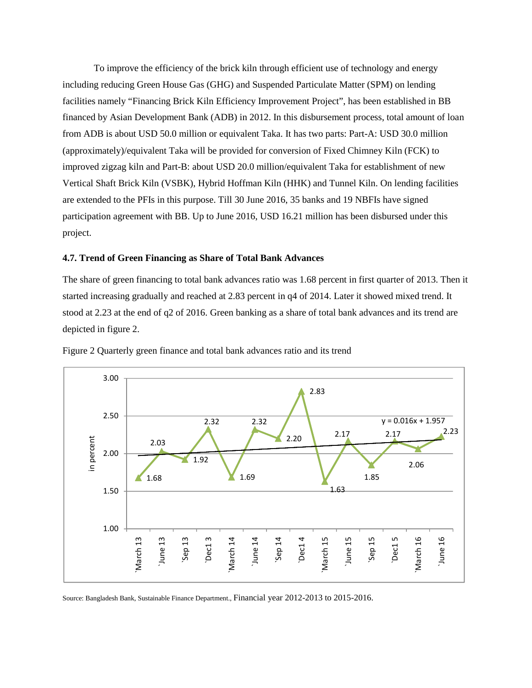To improve the efficiency of the brick kiln through efficient use of technology and energy including reducing Green House Gas (GHG) and Suspended Particulate Matter (SPM) on lending facilities namely "Financing Brick Kiln Efficiency Improvement Project", has been established in BB financed by Asian Development Bank (ADB) in 2012. In this disbursement process, total amount of loan from ADB is about USD 50.0 million or equivalent Taka. It has two parts: Part-A: USD 30.0 million (approximately)/equivalent Taka will be provided for conversion of Fixed Chimney Kiln (FCK) to improved zigzag kiln and Part-B: about USD 20.0 million/equivalent Taka for establishment of new Vertical Shaft Brick Kiln (VSBK), Hybrid Hoffman Kiln (HHK) and Tunnel Kiln. On lending facilities are extended to the PFIs in this purpose. Till 30 June 2016, 35 banks and 19 NBFIs have signed participation agreement with BB. Up to June 2016, USD 16.21 million has been disbursed under this project.

#### **4.7. Trend of Green Financing as Share of Total Bank Advances**

The share of green financing to total bank advances ratio was 1.68 percent in first quarter of 2013. Then it started increasing gradually and reached at 2.83 percent in q4 of 2014. Later it showed mixed trend. It stood at 2.23 at the end of q2 of 2016. Green banking as a share of total bank advances and its trend are depicted in figure 2.



Figure 2 Quarterly green finance and total bank advances ratio and its trend

Source: Bangladesh Bank, Sustainable Finance Department., Financial year 2012-2013 to 2015-2016.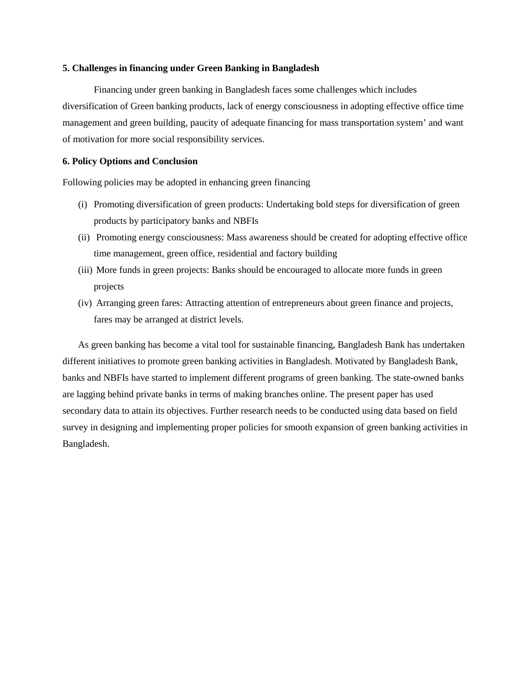#### **5. Challenges in financing under Green Banking in Bangladesh**

Financing under green banking in Bangladesh faces some challenges which includes diversification of Green banking products, lack of energy consciousness in adopting effective office time management and green building, paucity of adequate financing for mass transportation system' and want of motivation for more social responsibility services.

#### **6. Policy Options and Conclusion**

Following policies may be adopted in enhancing green financing

- (i) Promoting diversification of green products: Undertaking bold steps for diversification of green products by participatory banks and NBFIs
- (ii) Promoting energy consciousness: Mass awareness should be created for adopting effective office time management, green office, residential and factory building
- (iii) More funds in green projects: Banks should be encouraged to allocate more funds in green projects
- (iv) Arranging green fares: Attracting attention of entrepreneurs about green finance and projects, fares may be arranged at district levels.

As green banking has become a vital tool for sustainable financing, Bangladesh Bank has undertaken different initiatives to promote green banking activities in Bangladesh. Motivated by Bangladesh Bank, banks and NBFIs have started to implement different programs of green banking. The state-owned banks are lagging behind private banks in terms of making branches online. The present paper has used secondary data to attain its objectives. Further research needs to be conducted using data based on field survey in designing and implementing proper policies for smooth expansion of green banking activities in Bangladesh.